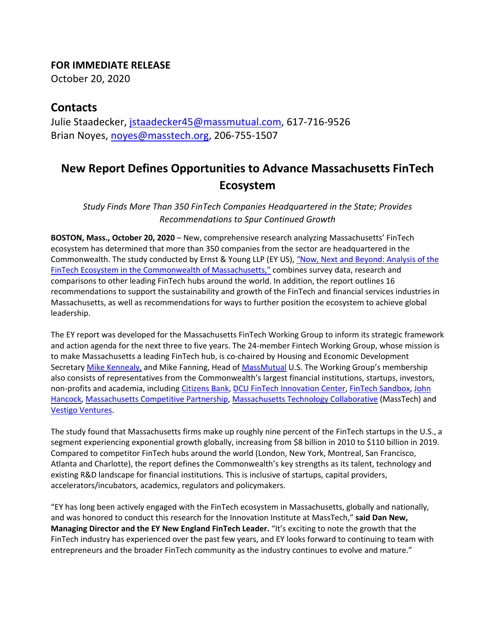## **FOR IMMEDIATE RELEASE**

October 20, 2020

## **Contacts**

Julie Staadecker, jstaadecker45@massmutual.com, 617-716-9526 Brian Noyes, noyes@masstech.org, 206-755-1507

## **New Report Defines Opportunities to Advance Massachusetts FinTech Ecosystem**

*Study Finds More Than 350 FinTech Companies Headquartered in the State; Provides Recommendations to Spur Continued Growth*

**BOSTON, Mass., October 20, 2020** – New, comprehensive research analyzing Massachusetts' FinTech ecosystem has determined that more than 350 companies from the sector are headquartered in the Commonwealth. The study conducted by Ernst & Young LLP (EY US), *"*Now, Next and Beyond: Analysis of the FinTech Ecosystem in the Commonwealth of Massachusetts," combines survey data, research and comparisons to other leading FinTech hubs around the world. In addition, the report outlines 16 recommendations to support the sustainability and growth of the FinTech and financial services industries in Massachusetts, as well as recommendations for ways to further position the ecosystem to achieve global leadership.

The EY report was developed for the Massachusetts FinTech Working Group to inform its strategic framework and action agenda for the next three to five years. The 24-member Fintech Working Group, whose mission is to make Massachusetts a leading FinTech hub, is co-chaired by Housing and Economic Development Secretary Mike Kennealy, and Mike Fanning, Head of MassMutual U.S. The Working Group's membership also consists of representatives from the Commonwealth's largest financial institutions, startups, investors, non-profits and academia, including Citizens Bank, DCU FinTech Innovation Center, FinTech Sandbox, John Hancock, Massachusetts Competitive Partnership, Massachusetts Technology Collaborative (MassTech) and Vestigo Ventures.

The study found that Massachusetts firms make up roughly nine percent of the FinTech startups in the U.S., a segment experiencing exponential growth globally, increasing from \$8 billion in 2010 to \$110 billion in 2019. Compared to competitor FinTech hubs around the world (London, New York, Montreal, San Francisco, Atlanta and Charlotte), the report defines the Commonwealth's key strengths as its talent, technology and existing R&D landscape for financial institutions. This is inclusive of startups, capital providers, accelerators/incubators, academics, regulators and policymakers.

"EY has long been actively engaged with the FinTech ecosystem in Massachusetts, globally and nationally, and was honored to conduct this research for the Innovation Institute at MassTech," **said Dan New, Managing Director and the EY New England FinTech Leader.** "It's exciting to note the growth that the FinTech industry has experienced over the past few years, and EY looks forward to continuing to team with entrepreneurs and the broader FinTech community as the industry continues to evolve and mature."